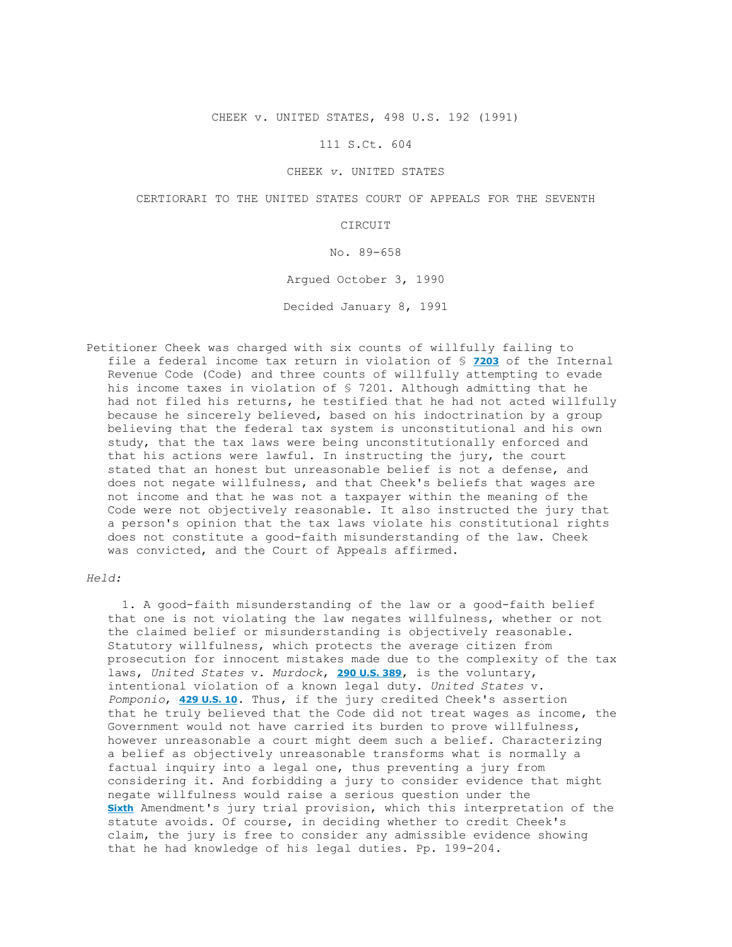CHEEK v. UNITED STATES, 498 U.S. 192 (1991)

111 S.Ct. 604

## CHEEK *v*. UNITED STATES

# CERTIORARI TO THE UNITED STATES COURT OF APPEALS FOR THE SEVENTH

CIRCUIT

No. 89-658

Argued October 3, 1990

Decided January 8, 1991

Petitioner Cheek was charged with six counts of willfully failing to file a federal income tax return in violation of § **[7203](http://www.loislaw.com/pns/doclink.htp?dockey=18550849@USCODE&alias=USCODE&cite=26+U.S.C.+%A7+7203)** of the Internal Revenue Code (Code) and three counts of willfully attempting to evade his income taxes in violation of § 7201. Although admitting that he had not filed his returns, he testified that he had not acted willfully because he sincerely believed, based on his indoctrination by a group believing that the federal tax system is unconstitutional and his own study, that the tax laws were being unconstitutionally enforced and that his actions were lawful. In instructing the jury, the court stated that an honest but unreasonable belief is not a defense, and does not negate willfulness, and that Cheek's beliefs that wages are not income and that he was not a taxpayer within the meaning of the Code were not objectively reasonable. It also instructed the jury that a person's opinion that the tax laws violate his constitutional rights does not constitute a good-faith misunderstanding of the law. Cheek was convicted, and the Court of Appeals affirmed.

### *Held:*

 1. A good-faith misunderstanding of the law or a good-faith belief that one is not violating the law negates willfulness, whether or not the claimed belief or misunderstanding is objectively reasonable. Statutory willfulness, which protects the average citizen from prosecution for innocent mistakes made due to the complexity of the tax laws, *United States* v. *Murdock*, **[290 U.S. 389](http://www.loislaw.com/pns/doclink.htp?alias=USCASE&cite=290+U.S.+389)**, is the voluntary, intentional violation of a known legal duty. *United States* v. *Pomponio*, **[429 U.S. 10](http://www.loislaw.com/pns/doclink.htp?alias=USCASE&cite=429+U.S.+10)**. Thus, if the jury credited Cheek's assertion that he truly believed that the Code did not treat wages as income, the Government would not have carried its burden to prove willfulness, however unreasonable a court might deem such a belief. Characterizing a belief as objectively unreasonable transforms what is normally a factual inquiry into a legal one, thus preventing a jury from considering it. And forbidding a jury to consider evidence that might negate willfulness would raise a serious question under the **[Sixth](http://www.loislaw.com/pns/doclink.htp?dockey=17286042@USCONST&alias=USCONST&cite=Amend.+VI#PR0)** Amendment's jury trial provision, which this interpretation of the statute avoids. Of course, in deciding whether to credit Cheek's claim, the jury is free to consider any admissible evidence showing that he had knowledge of his legal duties. Pp. 199-204.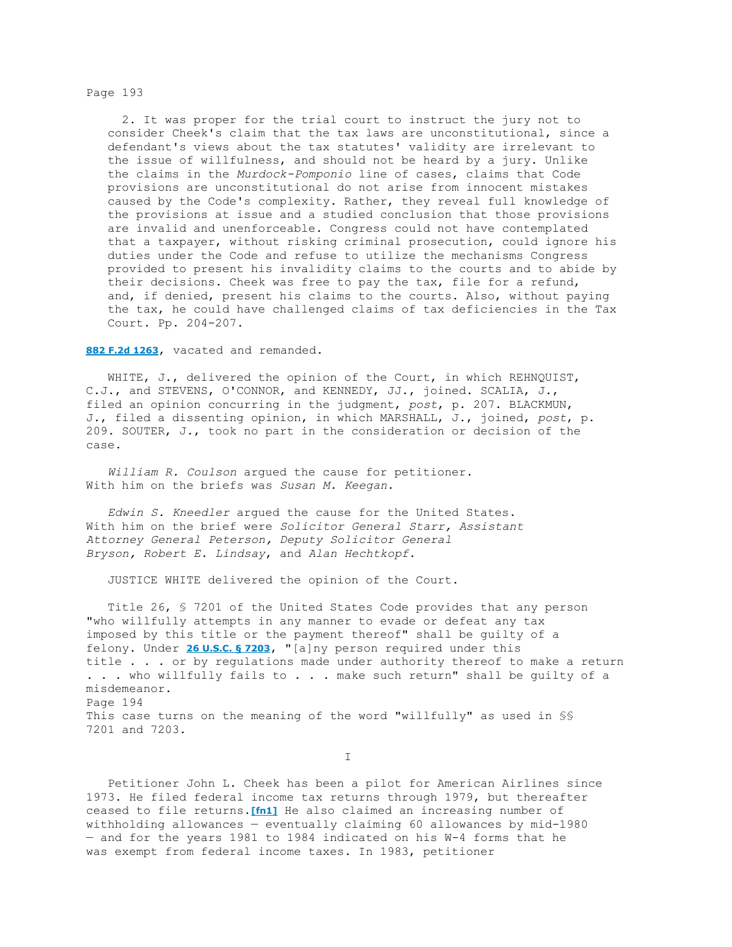### Page 193

 2. It was proper for the trial court to instruct the jury not to consider Cheek's claim that the tax laws are unconstitutional, since a defendant's views about the tax statutes' validity are irrelevant to the issue of willfulness, and should not be heard by a jury. Unlike the claims in the *Murdock-Pomponio* line of cases, claims that Code provisions are unconstitutional do not arise from innocent mistakes caused by the Code's complexity. Rather, they reveal full knowledge of the provisions at issue and a studied conclusion that those provisions are invalid and unenforceable. Congress could not have contemplated that a taxpayer, without risking criminal prosecution, could ignore his duties under the Code and refuse to utilize the mechanisms Congress provided to present his invalidity claims to the courts and to abide by their decisions. Cheek was free to pay the tax, file for a refund, and, if denied, present his claims to the courts. Also, without paying the tax, he could have challenged claims of tax deficiencies in the Tax Court. Pp. 204-207.

[882 F.2d 1263](http://www.loislaw.com/pns/doclink.htp?alias=F7CASE&cite=882+F.2d+1263), vacated and remanded.

WHITE, J., delivered the opinion of the Court, in which REHNQUIST, C.J., and STEVENS, O'CONNOR, and KENNEDY, JJ., joined. SCALIA, J., filed an opinion concurring in the judgment, *post*, p. 207. BLACKMUN, J., filed a dissenting opinion, in which MARSHALL, J., joined, *post*, p. 209. SOUTER, J., took no part in the consideration or decision of the case.

 *William R. Coulson* argued the cause for petitioner. With him on the briefs was *Susan M. Keegan*.

 *Edwin S. Kneedler* argued the cause for the United States. With him on the brief were *Solicitor General Starr, Assistant Attorney General Peterson, Deputy Solicitor General Bryson, Robert E. Lindsay*, and *Alan Hechtkopf*.

JUSTICE WHITE delivered the opinion of the Court.

 Title 26, § 7201 of the United States Code provides that any person "who willfully attempts in any manner to evade or defeat any tax imposed by this title or the payment thereof" shall be guilty of a felony. Under **[26 U.S.C. § 7203](http://www.loislaw.com/pns/doclink.htp?dockey=18550849@USCODE&alias=USCODE&cite=26+U.S.C.+%A7+7203)**, "[a]ny person required under this title . . . or by regulations made under authority thereof to make a return . . . who willfully fails to . . . make such return" shall be guilty of a misdemeanor. Page 194 This case turns on the meaning of the word "willfully" as used in §§ 7201 and 7203.

**I** 

 Petitioner John L. Cheek has been a pilot for American Airlines since 1973. He filed federal income tax returns through 1979, but thereafter ceased to file returns.**[\[fn1\]](http://www.loislaw.com/pns/docview.htp?query=%28%28cheek+v+united+states%29%3CIN%3E%28OC%2CCA%29%29&srcquery=P@eLsoKQglAwAAAAAB&sortspec=date+desc&resstart=0&respage=25&hidesummary=0&booklist=P@eLsoKQglKy1OTixOBQAI%29QKF&logauto=&bottomID=BOTTOMID&hits=3&curdoc=2&k2dockey=338100@COLL32#[fn1]00)** He also claimed an increasing number of withholding allowances — eventually claiming 60 allowances by mid-1980 — and for the years 1981 to 1984 indicated on his W-4 forms that he was exempt from federal income taxes. In 1983, petitioner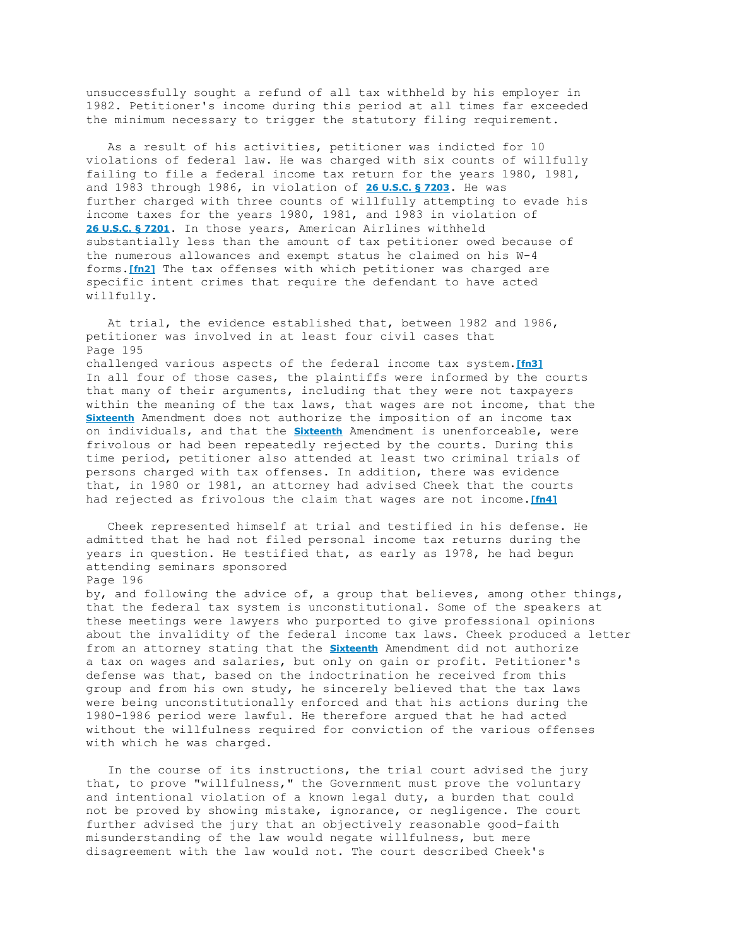unsuccessfully sought a refund of all tax withheld by his employer in 1982. Petitioner's income during this period at all times far exceeded the minimum necessary to trigger the statutory filing requirement.

 As a result of his activities, petitioner was indicted for 10 violations of federal law. He was charged with six counts of willfully failing to file a federal income tax return for the years 1980, 1981, and 1983 through 1986, in violation of **[26 U.S.C. § 7203](http://www.loislaw.com/pns/doclink.htp?dockey=18550849@USCODE&alias=USCODE&cite=26+U.S.C.+%A7+7203)**. He was further charged with three counts of willfully attempting to evade his income taxes for the years 1980, 1981, and 1983 in violation of **[26 U.S.C. § 7201](http://www.loislaw.com/pns/doclink.htp?dockey=18550847@USCODE&alias=USCODE&cite=26+U.S.C.+%A7+7201)**. In those years, American Airlines withheld substantially less than the amount of tax petitioner owed because of the numerous allowances and exempt status he claimed on his W-4 forms.**[\[fn2\]](http://www.loislaw.com/pns/docview.htp?query=%28%28cheek+v+united+states%29%3CIN%3E%28OC%2CCA%29%29&srcquery=P@eLsoKQglAwAAAAAB&sortspec=date+desc&resstart=0&respage=25&hidesummary=0&booklist=P@eLsoKQglKy1OTixOBQAI%29QKF&logauto=&bottomID=BOTTOMID&hits=3&curdoc=2&k2dockey=338100@COLL32#[fn2]00)** The tax offenses with which petitioner was charged are specific intent crimes that require the defendant to have acted willfully.

 At trial, the evidence established that, between 1982 and 1986, petitioner was involved in at least four civil cases that Page 195

challenged various aspects of the federal income tax system.**[\[fn3\]](http://www.loislaw.com/pns/docview.htp?query=%28%28cheek+v+united+states%29%3CIN%3E%28OC%2CCA%29%29&srcquery=P@eLsoKQglAwAAAAAB&sortspec=date+desc&resstart=0&respage=25&hidesummary=0&booklist=P@eLsoKQglKy1OTixOBQAI%29QKF&logauto=&bottomID=BOTTOMID&hits=3&curdoc=2&k2dockey=338100@COLL32#[fn3]00)** In all four of those cases, the plaintiffs were informed by the courts that many of their arguments, including that they were not taxpayers within the meaning of the tax laws, that wages are not income, that the **[Sixteenth](http://www.loislaw.com/pns/doclink.htp?dockey=17286061@USCONST&alias=USCONST&cite=Amend.+XVI#PR0)** Amendment does not authorize the imposition of an income tax on individuals, and that the **[Sixteenth](http://www.loislaw.com/pns/doclink.htp?dockey=17286061@USCONST&alias=USCONST&cite=Amend.+XVI#PR0)** Amendment is unenforceable, were frivolous or had been repeatedly rejected by the courts. During this time period, petitioner also attended at least two criminal trials of persons charged with tax offenses. In addition, there was evidence that, in 1980 or 1981, an attorney had advised Cheek that the courts had rejected as frivolous the claim that wages are not income.**[\[fn4\]](http://www.loislaw.com/pns/docview.htp?query=%28%28cheek+v+united+states%29%3CIN%3E%28OC%2CCA%29%29&srcquery=P@eLsoKQglAwAAAAAB&sortspec=date+desc&resstart=0&respage=25&hidesummary=0&booklist=P@eLsoKQglKy1OTixOBQAI%29QKF&logauto=&bottomID=BOTTOMID&hits=3&curdoc=2&k2dockey=338100@COLL32#[fn4]00)**

 Cheek represented himself at trial and testified in his defense. He admitted that he had not filed personal income tax returns during the years in question. He testified that, as early as 1978, he had begun attending seminars sponsored Page 196

by, and following the advice of, a group that believes, among other things, that the federal tax system is unconstitutional. Some of the speakers at these meetings were lawyers who purported to give professional opinions about the invalidity of the federal income tax laws. Cheek produced a letter from an attorney stating that the **[Sixteenth](http://www.loislaw.com/pns/doclink.htp?dockey=17286061@USCONST&alias=USCONST&cite=Amend.+XVI#PR0)** Amendment did not authorize a tax on wages and salaries, but only on gain or profit. Petitioner's defense was that, based on the indoctrination he received from this group and from his own study, he sincerely believed that the tax laws were being unconstitutionally enforced and that his actions during the 1980-1986 period were lawful. He therefore argued that he had acted without the willfulness required for conviction of the various offenses with which he was charged.

 In the course of its instructions, the trial court advised the jury that, to prove "willfulness," the Government must prove the voluntary and intentional violation of a known legal duty, a burden that could not be proved by showing mistake, ignorance, or negligence. The court further advised the jury that an objectively reasonable good-faith misunderstanding of the law would negate willfulness, but mere disagreement with the law would not. The court described Cheek's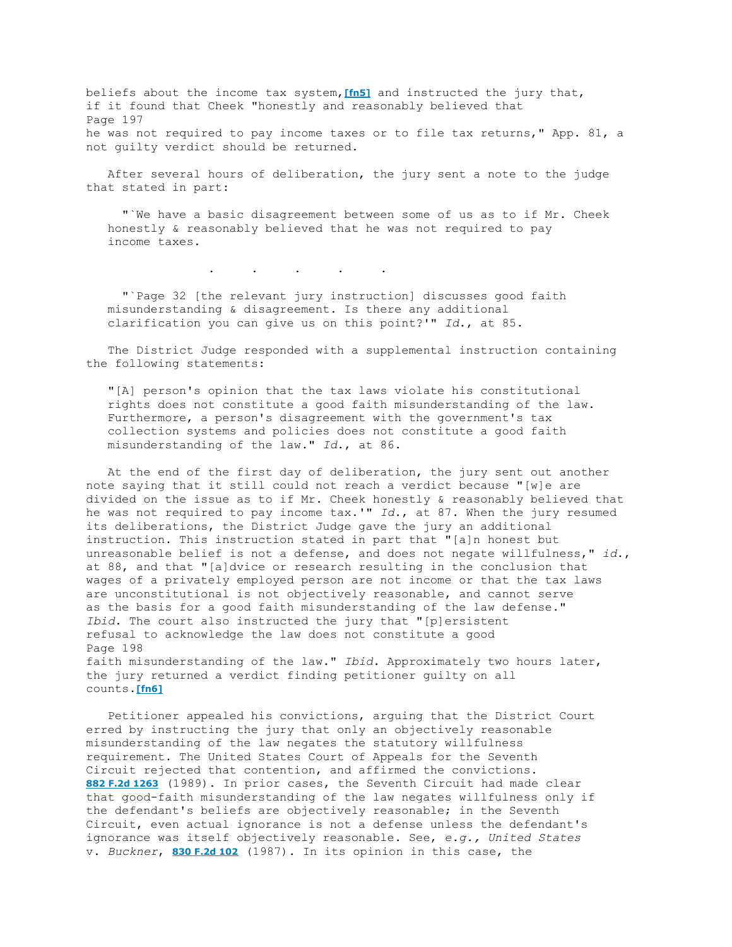beliefs about the income tax system,**[\[fn5\]](http://www.loislaw.com/pns/docview.htp?query=%28%28cheek+v+united+states%29%3CIN%3E%28OC%2CCA%29%29&srcquery=P@eLsoKQglAwAAAAAB&sortspec=date+desc&resstart=0&respage=25&hidesummary=0&booklist=P@eLsoKQglKy1OTixOBQAI%29QKF&logauto=&bottomID=BOTTOMID&hits=3&curdoc=2&k2dockey=338100@COLL32#[fn5]00)** and instructed the jury that, if it found that Cheek "honestly and reasonably believed that Page 197 he was not required to pay income taxes or to file tax returns," App. 81, a not guilty verdict should be returned.

 After several hours of deliberation, the jury sent a note to the judge that stated in part:

 "`We have a basic disagreement between some of us as to if Mr. Cheek honestly & reasonably believed that he was not required to pay income taxes.

. The set of the set of the set of the set of the set of the  $\alpha$ 

 "`Page 32 [the relevant jury instruction] discusses good faith misunderstanding & disagreement. Is there any additional clarification you can give us on this point?'" *Id*., at 85.

 The District Judge responded with a supplemental instruction containing the following statements:

 "[A] person's opinion that the tax laws violate his constitutional rights does not constitute a good faith misunderstanding of the law. Furthermore, a person's disagreement with the government's tax collection systems and policies does not constitute a good faith misunderstanding of the law." *Id*., at 86.

 At the end of the first day of deliberation, the jury sent out another note saying that it still could not reach a verdict because "[w]e are divided on the issue as to if Mr. Cheek honestly & reasonably believed that he was not required to pay income tax.'" *Id*., at 87. When the jury resumed its deliberations, the District Judge gave the jury an additional instruction. This instruction stated in part that "[a]n honest but unreasonable belief is not a defense, and does not negate willfulness," *id*., at 88, and that "[a]dvice or research resulting in the conclusion that wages of a privately employed person are not income or that the tax laws are unconstitutional is not objectively reasonable, and cannot serve as the basis for a good faith misunderstanding of the law defense." *Ibid*. The court also instructed the jury that "[p]ersistent refusal to acknowledge the law does not constitute a good Page 198 faith misunderstanding of the law." *Ibid*. Approximately two hours later, the jury returned a verdict finding petitioner guilty on all counts.**[\[fn6\]](http://www.loislaw.com/pns/docview.htp?query=%28%28cheek+v+united+states%29%3CIN%3E%28OC%2CCA%29%29&srcquery=P@eLsoKQglAwAAAAAB&sortspec=date+desc&resstart=0&respage=25&hidesummary=0&booklist=P@eLsoKQglKy1OTixOBQAI%29QKF&logauto=&bottomID=BOTTOMID&hits=3&curdoc=2&k2dockey=338100@COLL32#[fn6]00)**

 Petitioner appealed his convictions, arguing that the District Court erred by instructing the jury that only an objectively reasonable misunderstanding of the law negates the statutory willfulness requirement. The United States Court of Appeals for the Seventh Circuit rejected that contention, and affirmed the convictions. **[882 F.2d 1263](http://www.loislaw.com/pns/doclink.htp?alias=F7CASE&cite=882+F.2d+1263)** (1989). In prior cases, the Seventh Circuit had made clear that good-faith misunderstanding of the law negates willfulness only if the defendant's beliefs are objectively reasonable; in the Seventh Circuit, even actual ignorance is not a defense unless the defendant's ignorance was itself objectively reasonable. See, *e.g., United States* v. *Buckner*, **[830 F.2d 102](http://www.loislaw.com/pns/doclink.htp?alias=F7CASE&cite=830+F.2d+102)** (1987). In its opinion in this case, the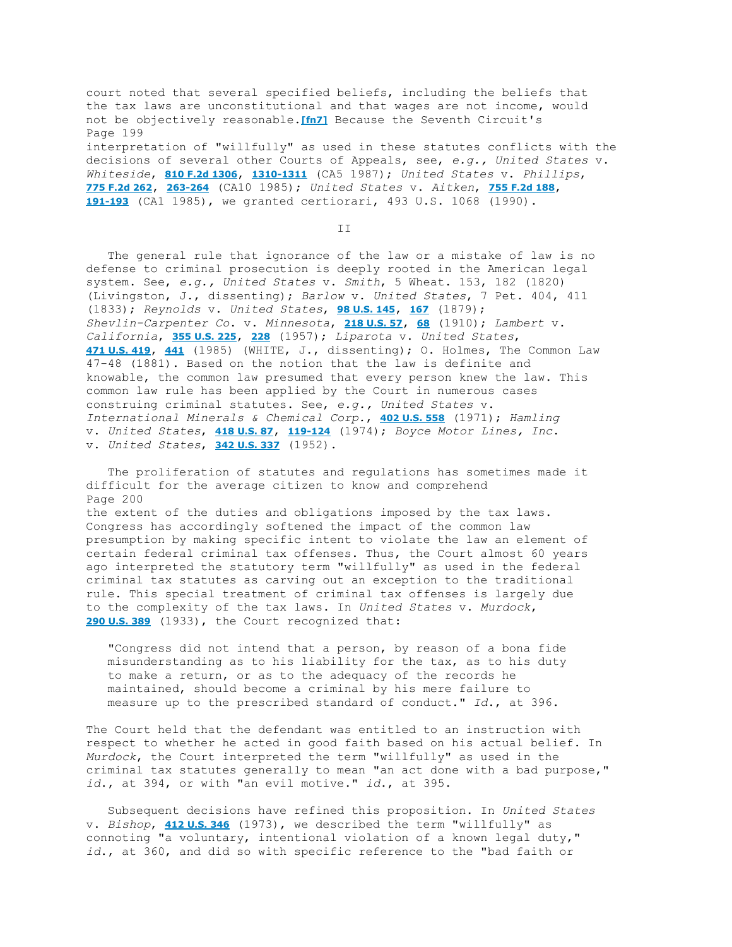court noted that several specified beliefs, including the beliefs that the tax laws are unconstitutional and that wages are not income, would not be objectively reasonable.**[\[fn7\]](http://www.loislaw.com/pns/docview.htp?query=%28%28cheek+v+united+states%29%3CIN%3E%28OC%2CCA%29%29&srcquery=P@eLsoKQglAwAAAAAB&sortspec=date+desc&resstart=0&respage=25&hidesummary=0&booklist=P@eLsoKQglKy1OTixOBQAI%29QKF&logauto=&bottomID=BOTTOMID&hits=3&curdoc=2&k2dockey=338100@COLL32#[fn7]00)** Because the Seventh Circuit's Page 199 interpretation of "willfully" as used in these statutes conflicts with the decisions of several other Courts of Appeals, see, *e.g., United States* v. *Whiteside*, **[810 F.2d 1306](http://www.loislaw.com/pns/doclink.htp?alias=F5CASE&cite=810+F.2d+1306)**, **[1310-1311](http://www.loislaw.com/pns/doclink.htp?alias=F5CASE&cite=810+F.2d+1306#PG1310)** (CA5 1987); *United States* v. *Phillips*, **[775 F.2d 262](http://www.loislaw.com/pns/doclink.htp?alias=F10CASE&cite=775+F.2d+262)**, **[263-264](http://www.loislaw.com/pns/doclink.htp?alias=F10CASE&cite=775+F.2d+262#PG263)** (CA10 1985); *United States* v. *Aitken*, **[755 F.2d 188](http://www.loislaw.com/pns/doclink.htp?alias=F1CASE&cite=755+F.2d+188)**, **[191-193](http://www.loislaw.com/pns/doclink.htp?alias=F1CASE&cite=755+F.2d+188#PG191)** (CA1 1985), we granted certiorari, 493 U.S. 1068 (1990).

II

 The general rule that ignorance of the law or a mistake of law is no defense to criminal prosecution is deeply rooted in the American legal system. See, *e.g., United States* v. *Smith*, 5 Wheat. 153, 182 (1820) (Livingston, J., dissenting); *Barlow* v. *United States*, 7 Pet. 404, 411 (1833); *Reynolds* v. *United States*, **[98 U.S. 145](http://www.loislaw.com/pns/doclink.htp?alias=USCASE&cite=98+U.S.+145)**, **[167](http://www.loislaw.com/pns/doclink.htp?alias=USCASE&cite=98+U.S.+145#PG167)** (1879); *Shevlin-Carpenter Co*. v. *Minnesota*, **[218 U.S. 57](http://www.loislaw.com/pns/doclink.htp?alias=USCASE&cite=218+U.S.+57)**, **[68](http://www.loislaw.com/pns/doclink.htp?alias=USCASE&cite=218+U.S.+57#PG68)** (1910); *Lambert* v. *California*, **[355 U.S. 225](http://www.loislaw.com/pns/doclink.htp?alias=USCASE&cite=355+U.S.+225)**, **[228](http://www.loislaw.com/pns/doclink.htp?alias=USCASE&cite=355+U.S.+225#PG228)** (1957); *Liparota* v. *United States*, **[471 U.S. 419](http://www.loislaw.com/pns/doclink.htp?alias=USCASE&cite=471+U.S.+419)**, **[441](http://www.loislaw.com/pns/doclink.htp?alias=USCASE&cite=471+U.S.+419#PG441)** (1985) (WHITE, J., dissenting); O. Holmes, The Common Law 47-48 (1881). Based on the notion that the law is definite and knowable, the common law presumed that every person knew the law. This common law rule has been applied by the Court in numerous cases construing criminal statutes. See, *e.g., United States* v. *International Minerals & Chemical Corp.*, **[402 U.S. 558](http://www.loislaw.com/pns/doclink.htp?alias=USCASE&cite=402+U.S.+558)** (1971); *Hamling* v. *United States*, **[418 U.S. 87](http://www.loislaw.com/pns/doclink.htp?alias=USCASE&cite=418+U.S.+87)**, **[119-124](http://www.loislaw.com/pns/doclink.htp?alias=USCASE&cite=418+U.S.+87#PG119)** (1974); *Boyce Motor Lines, Inc*. v. *United States*, **[342 U.S. 337](http://www.loislaw.com/pns/doclink.htp?alias=USCASE&cite=342+U.S.+337)** (1952).

 The proliferation of statutes and regulations has sometimes made it difficult for the average citizen to know and comprehend Page 200 the extent of the duties and obligations imposed by the tax laws. Congress has accordingly softened the impact of the common law presumption by making specific intent to violate the law an element of certain federal criminal tax offenses. Thus, the Court almost 60 years ago interpreted the statutory term "willfully" as used in the federal criminal tax statutes as carving out an exception to the traditional rule. This special treatment of criminal tax offenses is largely due to the complexity of the tax laws. In *United States* v. *Murdock*, **[290 U.S. 389](http://www.loislaw.com/pns/doclink.htp?alias=USCASE&cite=290+U.S.+389)** (1933), the Court recognized that:

 "Congress did not intend that a person, by reason of a bona fide misunderstanding as to his liability for the tax, as to his duty to make a return, or as to the adequacy of the records he maintained, should become a criminal by his mere failure to measure up to the prescribed standard of conduct." *Id*., at 396.

The Court held that the defendant was entitled to an instruction with respect to whether he acted in good faith based on his actual belief. In *Murdock*, the Court interpreted the term "willfully" as used in the criminal tax statutes generally to mean "an act done with a bad purpose," *id*., at 394, or with "an evil motive." *id*., at 395.

 Subsequent decisions have refined this proposition. In *United States* v. *Bishop*, **[412 U.S. 346](http://www.loislaw.com/pns/doclink.htp?alias=USCASE&cite=412+U.S.+346)** (1973), we described the term "willfully" as connoting "a voluntary, intentional violation of a known legal duty," *id*., at 360, and did so with specific reference to the "bad faith or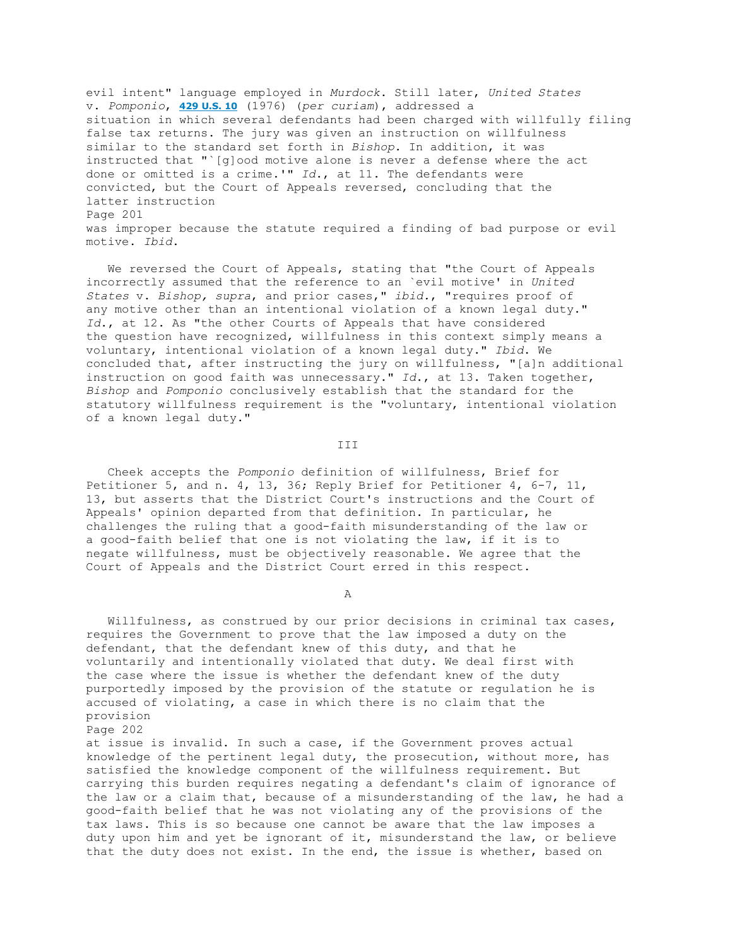evil intent" language employed in *Murdock*. Still later, *United States* v. *Pomponio*, **[429 U.S. 10](http://www.loislaw.com/pns/doclink.htp?alias=USCASE&cite=429+U.S.+10)** (1976) (*per curiam*), addressed a situation in which several defendants had been charged with willfully filing false tax returns. The jury was given an instruction on willfulness similar to the standard set forth in *Bishop*. In addition, it was instructed that "`[g]ood motive alone is never a defense where the act done or omitted is a crime.'" *Id*., at 11. The defendants were convicted, but the Court of Appeals reversed, concluding that the latter instruction Page 201 was improper because the statute required a finding of bad purpose or evil motive. *Ibid*.

 We reversed the Court of Appeals, stating that "the Court of Appeals incorrectly assumed that the reference to an `evil motive' in *United States* v. *Bishop, supra*, and prior cases," *ibid.*, "requires proof of any motive other than an intentional violation of a known legal duty." *Id*., at 12. As "the other Courts of Appeals that have considered the question have recognized, willfulness in this context simply means a voluntary, intentional violation of a known legal duty." *Ibid*. We concluded that, after instructing the jury on willfulness, "[a]n additional instruction on good faith was unnecessary." *Id*., at 13. Taken together, *Bishop* and *Pomponio* conclusively establish that the standard for the statutory willfulness requirement is the "voluntary, intentional violation of a known legal duty."

III

 Cheek accepts the *Pomponio* definition of willfulness, Brief for Petitioner 5, and n. 4, 13, 36; Reply Brief for Petitioner 4, 6-7, 11, 13, but asserts that the District Court's instructions and the Court of Appeals' opinion departed from that definition. In particular, he challenges the ruling that a good-faith misunderstanding of the law or a good-faith belief that one is not violating the law, if it is to negate willfulness, must be objectively reasonable. We agree that the Court of Appeals and the District Court erred in this respect.

**A** 

 Willfulness, as construed by our prior decisions in criminal tax cases, requires the Government to prove that the law imposed a duty on the defendant, that the defendant knew of this duty, and that he voluntarily and intentionally violated that duty. We deal first with the case where the issue is whether the defendant knew of the duty purportedly imposed by the provision of the statute or regulation he is accused of violating, a case in which there is no claim that the provision Page 202 at issue is invalid. In such a case, if the Government proves actual

knowledge of the pertinent legal duty, the prosecution, without more, has satisfied the knowledge component of the willfulness requirement. But carrying this burden requires negating a defendant's claim of ignorance of the law or a claim that, because of a misunderstanding of the law, he had a good-faith belief that he was not violating any of the provisions of the tax laws. This is so because one cannot be aware that the law imposes a duty upon him and yet be ignorant of it, misunderstand the law, or believe that the duty does not exist. In the end, the issue is whether, based on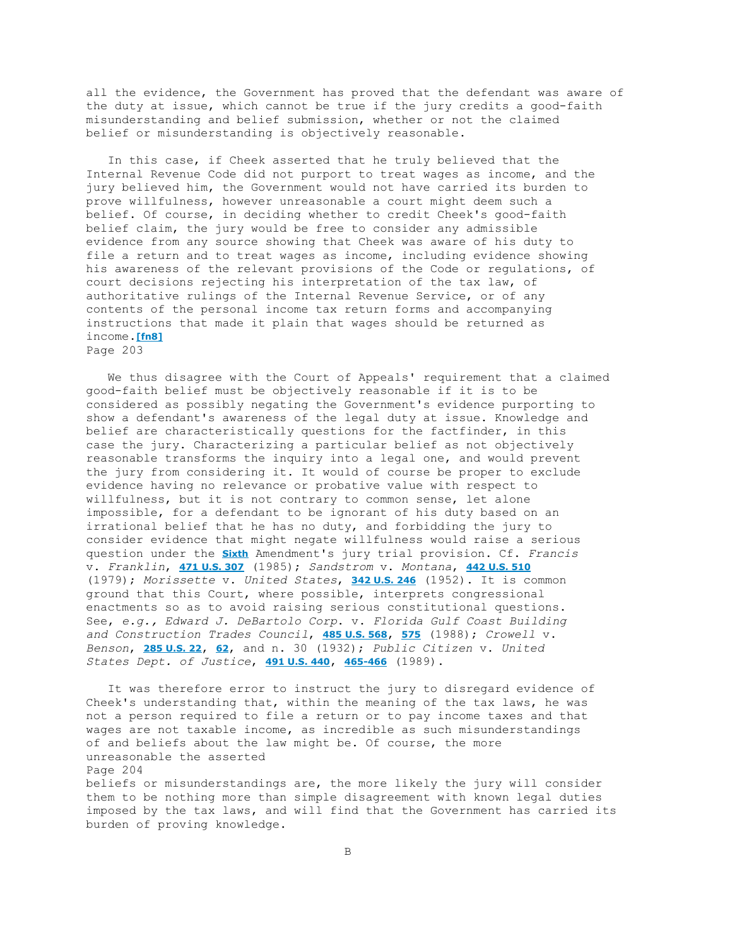all the evidence, the Government has proved that the defendant was aware of the duty at issue, which cannot be true if the jury credits a good-faith misunderstanding and belief submission, whether or not the claimed belief or misunderstanding is objectively reasonable.

 In this case, if Cheek asserted that he truly believed that the Internal Revenue Code did not purport to treat wages as income, and the jury believed him, the Government would not have carried its burden to prove willfulness, however unreasonable a court might deem such a belief. Of course, in deciding whether to credit Cheek's good-faith belief claim, the jury would be free to consider any admissible evidence from any source showing that Cheek was aware of his duty to file a return and to treat wages as income, including evidence showing his awareness of the relevant provisions of the Code or regulations, of court decisions rejecting his interpretation of the tax law, of authoritative rulings of the Internal Revenue Service, or of any contents of the personal income tax return forms and accompanying instructions that made it plain that wages should be returned as income.**[\[fn8\]](http://www.loislaw.com/pns/docview.htp?query=%28%28cheek+v+united+states%29%3CIN%3E%28OC%2CCA%29%29&srcquery=P@eLsoKQglAwAAAAAB&sortspec=date+desc&resstart=0&respage=25&hidesummary=0&booklist=P@eLsoKQglKy1OTixOBQAI%29QKF&logauto=&bottomID=BOTTOMID&hits=3&curdoc=2&k2dockey=338100@COLL32#[fn8]00)** Page 203

 We thus disagree with the Court of Appeals' requirement that a claimed good-faith belief must be objectively reasonable if it is to be considered as possibly negating the Government's evidence purporting to show a defendant's awareness of the legal duty at issue. Knowledge and belief are characteristically questions for the factfinder, in this case the jury. Characterizing a particular belief as not objectively reasonable transforms the inquiry into a legal one, and would prevent the jury from considering it. It would of course be proper to exclude evidence having no relevance or probative value with respect to willfulness, but it is not contrary to common sense, let alone impossible, for a defendant to be ignorant of his duty based on an irrational belief that he has no duty, and forbidding the jury to consider evidence that might negate willfulness would raise a serious question under the **[Sixth](http://www.loislaw.com/pns/doclink.htp?dockey=17286042@USCONST&alias=USCONST&cite=Amend.+VI#PR0)** Amendment's jury trial provision. Cf. *Francis* v. *Franklin*, **[471 U.S. 307](http://www.loislaw.com/pns/doclink.htp?alias=USCASE&cite=471+U.S.+307)** (1985); *Sandstrom* v. *Montana*, **[442 U.S. 510](http://www.loislaw.com/pns/doclink.htp?alias=USCASE&cite=442+U.S.+510)** (1979); *Morissette* v. *United States*, **[342 U.S. 246](http://www.loislaw.com/pns/doclink.htp?alias=USCASE&cite=342+U.S.+246)** (1952). It is common ground that this Court, where possible, interprets congressional enactments so as to avoid raising serious constitutional questions. See, *e.g., Edward J. DeBartolo Corp*. v. *Florida Gulf Coast Building and Construction Trades Council*, **[485 U.S. 568](http://www.loislaw.com/pns/doclink.htp?alias=USCASE&cite=485+U.S.+568)**, **[575](http://www.loislaw.com/pns/doclink.htp?alias=USCASE&cite=485+U.S.+568#PG575)** (1988); *Crowell* v. *Benson*, **[285 U.S. 22](http://www.loislaw.com/pns/doclink.htp?alias=USCASE&cite=285+U.S.+22)**, **[62](http://www.loislaw.com/pns/doclink.htp?alias=USCASE&cite=285+U.S.+22#PG62)**, and n. 30 (1932); *Public Citizen* v. *United States Dept. of Justice*, **[491 U.S. 440](http://www.loislaw.com/pns/doclink.htp?alias=USCASE&cite=491+U.S.+440)**, **[465-466](http://www.loislaw.com/pns/doclink.htp?alias=USCASE&cite=491+U.S.+440#PG465)** (1989).

 It was therefore error to instruct the jury to disregard evidence of Cheek's understanding that, within the meaning of the tax laws, he was not a person required to file a return or to pay income taxes and that wages are not taxable income, as incredible as such misunderstandings of and beliefs about the law might be. Of course, the more unreasonable the asserted Page 204

beliefs or misunderstandings are, the more likely the jury will consider them to be nothing more than simple disagreement with known legal duties imposed by the tax laws, and will find that the Government has carried its burden of proving knowledge.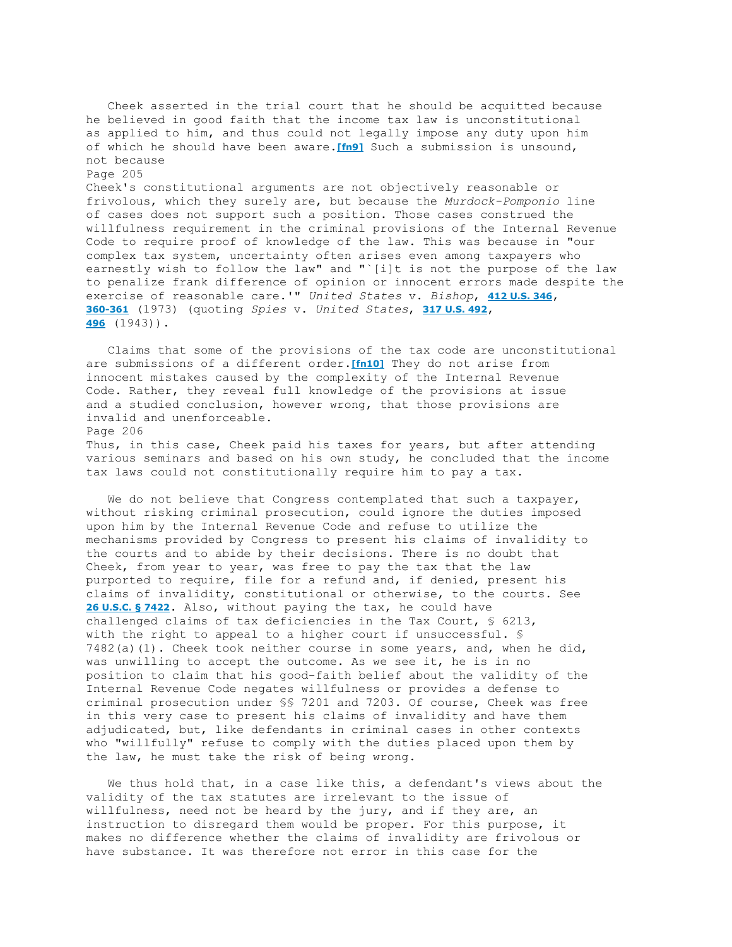Cheek asserted in the trial court that he should be acquitted because he believed in good faith that the income tax law is unconstitutional as applied to him, and thus could not legally impose any duty upon him of which he should have been aware.**[\[fn9\]](http://www.loislaw.com/pns/docview.htp?query=%28%28cheek+v+united+states%29%3CIN%3E%28OC%2CCA%29%29&srcquery=P@eLsoKQglAwAAAAAB&sortspec=date+desc&resstart=0&respage=25&hidesummary=0&booklist=P@eLsoKQglKy1OTixOBQAI%29QKF&logauto=&bottomID=BOTTOMID&hits=3&curdoc=2&k2dockey=338100@COLL32#[fn9]00)** Such a submission is unsound, not because Page 205 Cheek's constitutional arguments are not objectively reasonable or frivolous, which they surely are, but because the *Murdock-Pomponio* line of cases does not support such a position. Those cases construed the willfulness requirement in the criminal provisions of the Internal Revenue Code to require proof of knowledge of the law. This was because in "our complex tax system, uncertainty often arises even among taxpayers who earnestly wish to follow the law" and "`[i]t is not the purpose of the law to penalize frank difference of opinion or innocent errors made despite the exercise of reasonable care.'" *United States* v. *Bishop*, **[412 U.S. 346](http://www.loislaw.com/pns/doclink.htp?alias=USCASE&cite=412+U.S.+346)**, **[360-361](http://www.loislaw.com/pns/doclink.htp?alias=USCASE&cite=412+U.S.+346#PG360)** (1973) (quoting *Spies* v. *United States*, **[317 U.S. 492](http://www.loislaw.com/pns/doclink.htp?alias=USCASE&cite=317+U.S.+492)**, **[496](http://www.loislaw.com/pns/doclink.htp?alias=USCASE&cite=317+U.S.+492#PG496)** (1943)).

 Claims that some of the provisions of the tax code are unconstitutional are submissions of a different order.**[\[fn10\]](http://www.loislaw.com/pns/docview.htp?query=%28%28cheek+v+united+states%29%3CIN%3E%28OC%2CCA%29%29&srcquery=P@eLsoKQglAwAAAAAB&sortspec=date+desc&resstart=0&respage=25&hidesummary=0&booklist=P@eLsoKQglKy1OTixOBQAI%29QKF&logauto=&bottomID=BOTTOMID&hits=3&curdoc=2&k2dockey=338100@COLL32#[fn10]00)** They do not arise from innocent mistakes caused by the complexity of the Internal Revenue Code. Rather, they reveal full knowledge of the provisions at issue and a studied conclusion, however wrong, that those provisions are invalid and unenforceable. Page 206

Thus, in this case, Cheek paid his taxes for years, but after attending various seminars and based on his own study, he concluded that the income tax laws could not constitutionally require him to pay a tax.

We do not believe that Congress contemplated that such a taxpayer, without risking criminal prosecution, could ignore the duties imposed upon him by the Internal Revenue Code and refuse to utilize the mechanisms provided by Congress to present his claims of invalidity to the courts and to abide by their decisions. There is no doubt that Cheek, from year to year, was free to pay the tax that the law purported to require, file for a refund and, if denied, present his claims of invalidity, constitutional or otherwise, to the courts. See **[26 U.S.C. § 7422](http://www.loislaw.com/pns/doclink.htp?dockey=18550926@USCODE&alias=USCODE&cite=26+U.S.C.+%A7+7422)**. Also, without paying the tax, he could have challenged claims of tax deficiencies in the Tax Court, § 6213, with the right to appeal to a higher court if unsuccessful. § 7482(a)(1). Cheek took neither course in some years, and, when he did, was unwilling to accept the outcome. As we see it, he is in no position to claim that his good-faith belief about the validity of the Internal Revenue Code negates willfulness or provides a defense to criminal prosecution under §§ 7201 and 7203. Of course, Cheek was free in this very case to present his claims of invalidity and have them adjudicated, but, like defendants in criminal cases in other contexts who "willfully" refuse to comply with the duties placed upon them by the law, he must take the risk of being wrong.

 We thus hold that, in a case like this, a defendant's views about the validity of the tax statutes are irrelevant to the issue of willfulness, need not be heard by the jury, and if they are, an instruction to disregard them would be proper. For this purpose, it makes no difference whether the claims of invalidity are frivolous or have substance. It was therefore not error in this case for the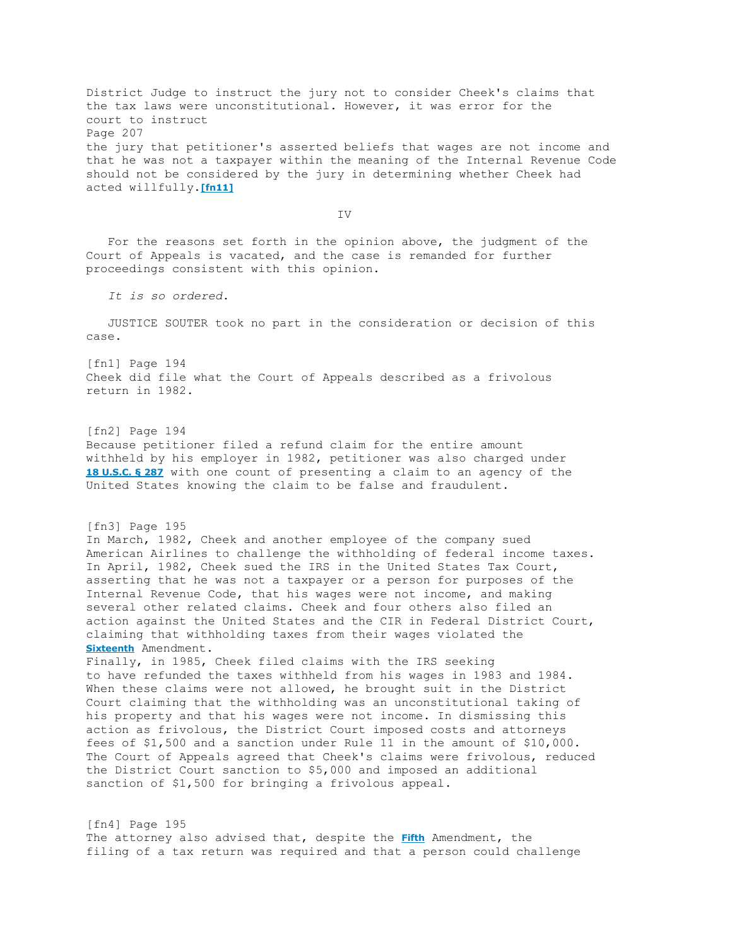District Judge to instruct the jury not to consider Cheek's claims that the tax laws were unconstitutional. However, it was error for the court to instruct Page 207 the jury that petitioner's asserted beliefs that wages are not income and that he was not a taxpayer within the meaning of the Internal Revenue Code should not be considered by the jury in determining whether Cheek had acted willfully.**[\[fn11\]](http://www.loislaw.com/pns/docview.htp?query=%28%28cheek+v+united+states%29%3CIN%3E%28OC%2CCA%29%29&srcquery=P@eLsoKQglAwAAAAAB&sortspec=date+desc&resstart=0&respage=25&hidesummary=0&booklist=P@eLsoKQglKy1OTixOBQAI%29QKF&logauto=&bottomID=BOTTOMID&hits=3&curdoc=2&k2dockey=338100@COLL32#[fn11]00)**

IV

 For the reasons set forth in the opinion above, the judgment of the Court of Appeals is vacated, and the case is remanded for further proceedings consistent with this opinion.

*It is so ordered*.

 JUSTICE SOUTER took no part in the consideration or decision of this case.

[fn1] Page 194 Cheek did file what the Court of Appeals described as a frivolous return in 1982.

[fn2] Page 194 Because petitioner filed a refund claim for the entire amount withheld by his employer in 1982, petitioner was also charged under **[18 U.S.C. § 287](http://www.loislaw.com/pns/doclink.htp?dockey=7632736@USCODE&alias=USCODE&cite=18+U.S.C.+%A7+287)** with one count of presenting a claim to an agency of the United States knowing the claim to be false and fraudulent.

[fn3] Page 195

In March, 1982, Cheek and another employee of the company sued American Airlines to challenge the withholding of federal income taxes. In April, 1982, Cheek sued the IRS in the United States Tax Court, asserting that he was not a taxpayer or a person for purposes of the Internal Revenue Code, that his wages were not income, and making several other related claims. Cheek and four others also filed an action against the United States and the CIR in Federal District Court, claiming that withholding taxes from their wages violated the **[Sixteenth](http://www.loislaw.com/pns/doclink.htp?dockey=17286061@USCONST&alias=USCONST&cite=Amend.+XVI#PR0)** Amendment.

Finally, in 1985, Cheek filed claims with the IRS seeking to have refunded the taxes withheld from his wages in 1983 and 1984. When these claims were not allowed, he brought suit in the District Court claiming that the withholding was an unconstitutional taking of his property and that his wages were not income. In dismissing this action as frivolous, the District Court imposed costs and attorneys fees of \$1,500 and a sanction under Rule 11 in the amount of \$10,000. The Court of Appeals agreed that Cheek's claims were frivolous, reduced the District Court sanction to \$5,000 and imposed an additional sanction of \$1,500 for bringing a frivolous appeal.

[fn4] Page 195 The attorney also advised that, despite the **[Fifth](http://www.loislaw.com/pns/doclink.htp?dockey=17286041@USCONST&alias=USCONST&cite=Amend.+V#PR0)** Amendment, the filing of a tax return was required and that a person could challenge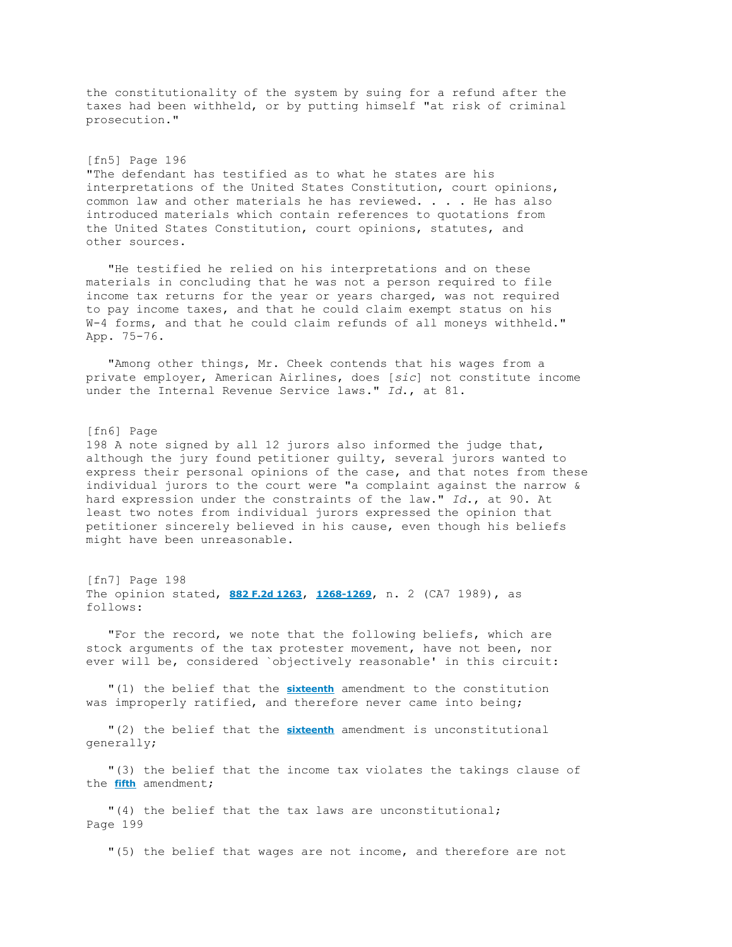the constitutionality of the system by suing for a refund after the taxes had been withheld, or by putting himself "at risk of criminal prosecution."

#### [fn5] Page 196

"The defendant has testified as to what he states are his interpretations of the United States Constitution, court opinions, common law and other materials he has reviewed. . . . He has also introduced materials which contain references to quotations from the United States Constitution, court opinions, statutes, and other sources.

 "He testified he relied on his interpretations and on these materials in concluding that he was not a person required to file income tax returns for the year or years charged, was not required to pay income taxes, and that he could claim exempt status on his W-4 forms, and that he could claim refunds of all moneys withheld." App. 75-76.

 "Among other things, Mr. Cheek contends that his wages from a private employer, American Airlines, does [*sic*] not constitute income under the Internal Revenue Service laws." *Id*., at 81.

#### [fn6] Page

198 A note signed by all 12 jurors also informed the judge that, although the jury found petitioner guilty, several jurors wanted to express their personal opinions of the case, and that notes from these individual jurors to the court were "a complaint against the narrow & hard expression under the constraints of the law." *Id*., at 90. At least two notes from individual jurors expressed the opinion that petitioner sincerely believed in his cause, even though his beliefs might have been unreasonable.

[fn7] Page 198 The opinion stated, **[882 F.2d 1263](http://www.loislaw.com/pns/doclink.htp?alias=F7CASE&cite=882+F.2d+1263)**, **[1268-1269](http://www.loislaw.com/pns/doclink.htp?alias=F7CASE&cite=882+F.2d+1263#PG1268)**, n. 2 (CA7 1989), as follows:

 "For the record, we note that the following beliefs, which are stock arguments of the tax protester movement, have not been, nor ever will be, considered `objectively reasonable' in this circuit:

 "(1) the belief that the **[sixteenth](http://www.loislaw.com/pns/doclink.htp?dockey=17286061@USCONST&alias=USCONST&cite=Amend.+XVI#PR0)** amendment to the constitution was improperly ratified, and therefore never came into being;

 "(2) the belief that the **[sixteenth](http://www.loislaw.com/pns/doclink.htp?dockey=17286061@USCONST&alias=USCONST&cite=Amend.+XVI#PR0)** amendment is unconstitutional generally;

 "(3) the belief that the income tax violates the takings clause of the **[fifth](http://www.loislaw.com/pns/doclink.htp?dockey=17286041@USCONST&alias=USCONST&cite=Amend.+V#PR0)** amendment;

 "(4) the belief that the tax laws are unconstitutional; Page 199

"(5) the belief that wages are not income, and therefore are not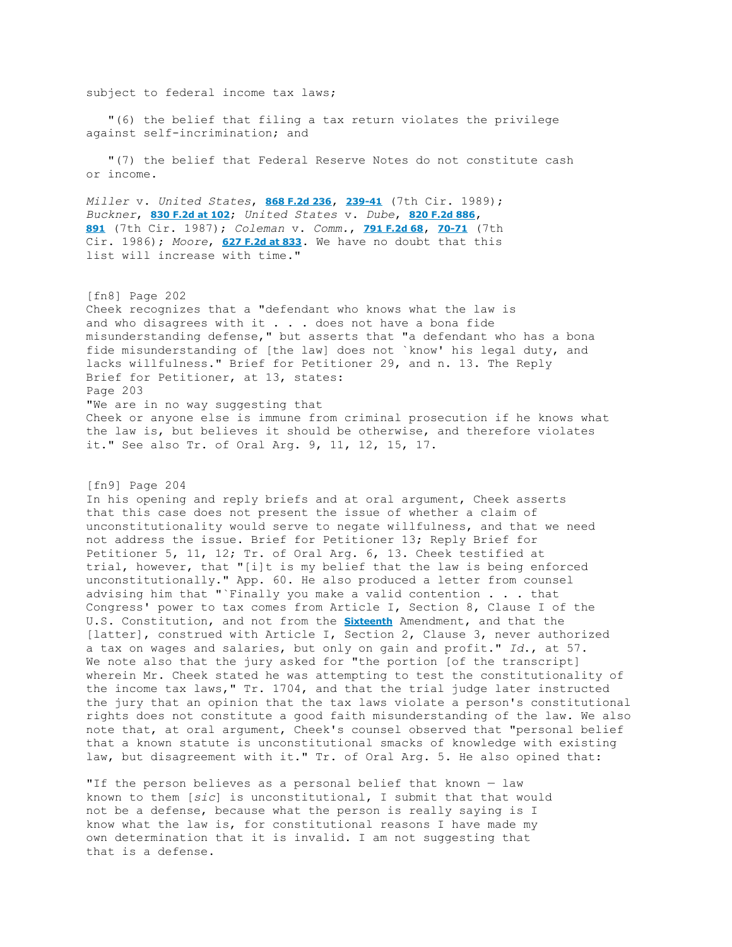subject to federal income tax laws;

 "(6) the belief that filing a tax return violates the privilege against self-incrimination; and

 "(7) the belief that Federal Reserve Notes do not constitute cash or income.

*Miller* v. *United States*, **[868 F.2d 236](http://www.loislaw.com/pns/doclink.htp?alias=F7CASE&cite=868+F.2d+236)**, **[239-41](http://www.loislaw.com/pns/doclink.htp?alias=F7CASE&cite=868+F.2d+236#PG239)** (7th Cir. 1989); *Buckner*, **[830 F.2d at 102](http://www.loislaw.com/pns/doclink.htp?alias=F7CASE&cite=830+F.2d+102#PG102)**; *United States* v. *Dube*, **[820 F.2d 886](http://www.loislaw.com/pns/doclink.htp?alias=F7CASE&cite=820+F.2d+886)**, **[891](http://www.loislaw.com/pns/doclink.htp?alias=F7CASE&cite=820+F.2d+886#PG891)** (7th Cir. 1987); *Coleman* v. *Comm.*, **[791 F.2d 68](http://www.loislaw.com/pns/doclink.htp?alias=F7CASE&cite=791+F.2d+68)**, **[70-71](http://www.loislaw.com/pns/doclink.htp?alias=F7CASE&cite=791+F.2d+68#PG70)** (7th Cir. 1986); *Moore*, **[627 F.2d at 833](http://www.loislaw.com/pns/doclink.htp?alias=F7CASE&cite=627+F.2d+830#PG833)**. We have no doubt that this list will increase with time."

[fn8] Page 202 Cheek recognizes that a "defendant who knows what the law is and who disagrees with it . . . does not have a bona fide misunderstanding defense," but asserts that "a defendant who has a bona fide misunderstanding of [the law] does not `know' his legal duty, and lacks willfulness." Brief for Petitioner 29, and n. 13. The Reply Brief for Petitioner, at 13, states: Page 203 "We are in no way suggesting that Cheek or anyone else is immune from criminal prosecution if he knows what the law is, but believes it should be otherwise, and therefore violates it." See also Tr. of Oral Arg. 9, 11, 12, 15, 17.

[fn9] Page 204

In his opening and reply briefs and at oral argument, Cheek asserts that this case does not present the issue of whether a claim of unconstitutionality would serve to negate willfulness, and that we need not address the issue. Brief for Petitioner 13; Reply Brief for Petitioner 5, 11, 12; Tr. of Oral Arg. 6, 13. Cheek testified at trial, however, that "[i]t is my belief that the law is being enforced unconstitutionally." App. 60. He also produced a letter from counsel advising him that "`Finally you make a valid contention . . . that Congress' power to tax comes from Article I, Section 8, Clause I of the U.S. Constitution, and not from the **[Sixteenth](http://www.loislaw.com/pns/doclink.htp?dockey=17286061@USCONST&alias=USCONST&cite=Amend.+XVI#PR0)** Amendment, and that the [latter], construed with Article I, Section 2, Clause 3, never authorized a tax on wages and salaries, but only on gain and profit." *Id*., at 57. We note also that the jury asked for "the portion [of the transcript] wherein Mr. Cheek stated he was attempting to test the constitutionality of the income tax laws," Tr. 1704, and that the trial judge later instructed the jury that an opinion that the tax laws violate a person's constitutional rights does not constitute a good faith misunderstanding of the law. We also note that, at oral argument, Cheek's counsel observed that "personal belief that a known statute is unconstitutional smacks of knowledge with existing law, but disagreement with it." Tr. of Oral Arg. 5. He also opined that:

"If the person believes as a personal belief that known — law known to them [*sic*] is unconstitutional, I submit that that would not be a defense, because what the person is really saying is I know what the law is, for constitutional reasons I have made my own determination that it is invalid. I am not suggesting that that is a defense.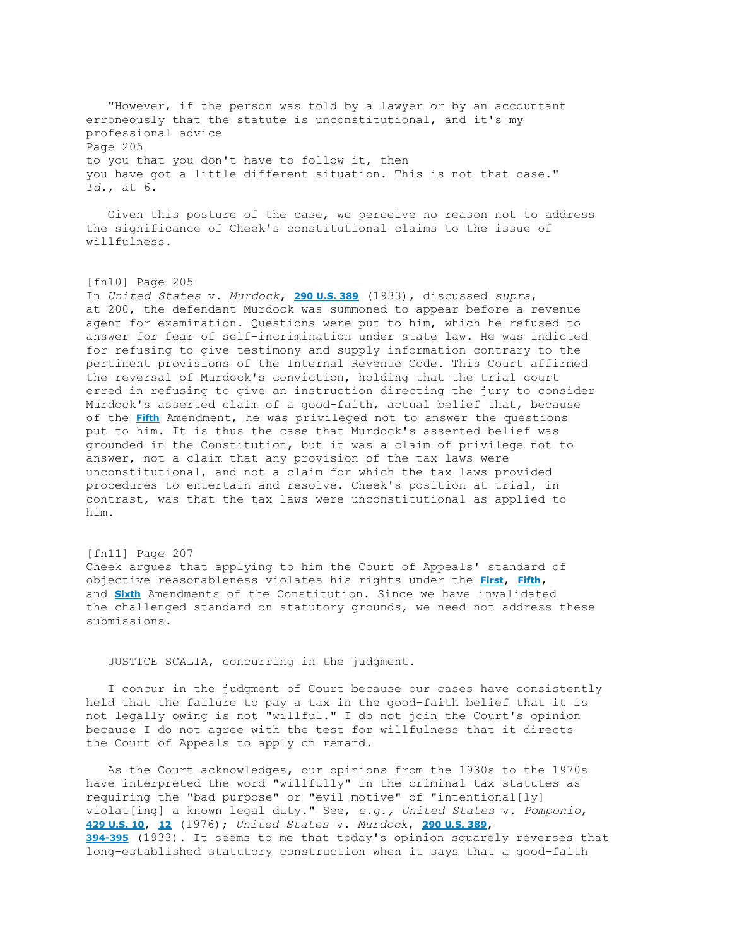"However, if the person was told by a lawyer or by an accountant erroneously that the statute is unconstitutional, and it's my professional advice Page 205 to you that you don't have to follow it, then you have got a little different situation. This is not that case." *Id*., at 6.

 Given this posture of the case, we perceive no reason not to address the significance of Cheek's constitutional claims to the issue of willfulness.

[fn10] Page 205 In *United States* v. *Murdock*, **[290 U.S. 389](http://www.loislaw.com/pns/doclink.htp?alias=USCASE&cite=290+U.S.+389)** (1933), discussed *supra*, at 200, the defendant Murdock was summoned to appear before a revenue agent for examination. Questions were put to him, which he refused to answer for fear of self-incrimination under state law. He was indicted for refusing to give testimony and supply information contrary to the pertinent provisions of the Internal Revenue Code. This Court affirmed the reversal of Murdock's conviction, holding that the trial court erred in refusing to give an instruction directing the jury to consider Murdock's asserted claim of a good-faith, actual belief that, because of the **[Fifth](http://www.loislaw.com/pns/doclink.htp?dockey=17286041@USCONST&alias=USCONST&cite=Amend.+V#PR0)** Amendment, he was privileged not to answer the questions put to him. It is thus the case that Murdock's asserted belief was grounded in the Constitution, but it was a claim of privilege not to answer, not a claim that any provision of the tax laws were unconstitutional, and not a claim for which the tax laws provided procedures to entertain and resolve. Cheek's position at trial, in contrast, was that the tax laws were unconstitutional as applied to him.

[fn11] Page 207 Cheek argues that applying to him the Court of Appeals' standard of objective reasonableness violates his rights under the **[First](http://www.loislaw.com/pns/doclink.htp?dockey=17286037@USCONST&alias=USCONST&cite=Amend.+I#PR0)**, **[Fifth](http://www.loislaw.com/pns/doclink.htp?dockey=17286041@USCONST&alias=USCONST&cite=Amend.+V#PR0)**, and **[Sixth](http://www.loislaw.com/pns/doclink.htp?dockey=17286042@USCONST&alias=USCONST&cite=Amend.+VI#PR0)** Amendments of the Constitution. Since we have invalidated the challenged standard on statutory grounds, we need not address these submissions.

JUSTICE SCALIA, concurring in the judgment.

 I concur in the judgment of Court because our cases have consistently held that the failure to pay a tax in the good-faith belief that it is not legally owing is not "willful." I do not join the Court's opinion because I do not agree with the test for willfulness that it directs the Court of Appeals to apply on remand.

 As the Court acknowledges, our opinions from the 1930s to the 1970s have interpreted the word "willfully" in the criminal tax statutes as requiring the "bad purpose" or "evil motive" of "intentional[ly] violat[ing] a known legal duty." See, *e.g., United States* v. *Pomponio*, **[429 U.S. 10](http://www.loislaw.com/pns/doclink.htp?alias=USCASE&cite=429+U.S.+10)**, **[12](http://www.loislaw.com/pns/doclink.htp?alias=USCASE&cite=429+U.S.+10#PG12)** (1976); *United States* v. *Murdock*, **[290 U.S. 389](http://www.loislaw.com/pns/doclink.htp?alias=USCASE&cite=290+U.S.+389)**, **[394-395](http://www.loislaw.com/pns/doclink.htp?alias=USCASE&cite=290+U.S.+389#PG394)** (1933). It seems to me that today's opinion squarely reverses that long-established statutory construction when it says that a good-faith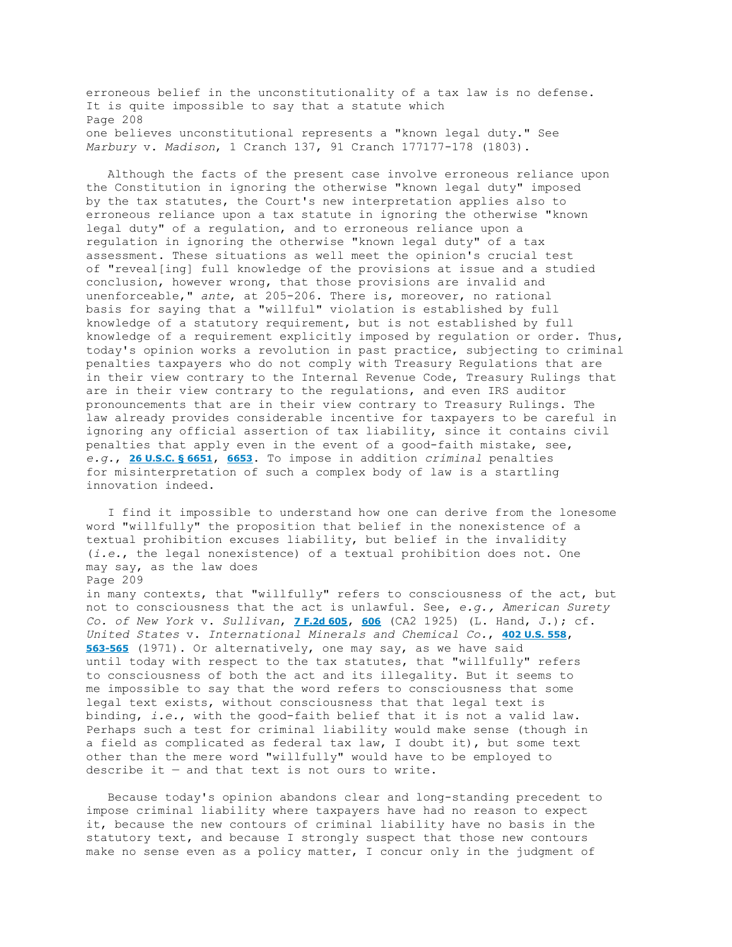erroneous belief in the unconstitutionality of a tax law is no defense. It is quite impossible to say that a statute which Page 208 one believes unconstitutional represents a "known legal duty." See *Marbury* v. *Madison*, 1 Cranch 137, 91 Cranch 177177-178 (1803).

 Although the facts of the present case involve erroneous reliance upon the Constitution in ignoring the otherwise "known legal duty" imposed by the tax statutes, the Court's new interpretation applies also to erroneous reliance upon a tax statute in ignoring the otherwise "known legal duty" of a regulation, and to erroneous reliance upon a regulation in ignoring the otherwise "known legal duty" of a tax assessment. These situations as well meet the opinion's crucial test of "reveal[ing] full knowledge of the provisions at issue and a studied conclusion, however wrong, that those provisions are invalid and unenforceable," *ante*, at 205-206. There is, moreover, no rational basis for saying that a "willful" violation is established by full knowledge of a statutory requirement, but is not established by full knowledge of a requirement explicitly imposed by regulation or order. Thus, today's opinion works a revolution in past practice, subjecting to criminal penalties taxpayers who do not comply with Treasury Regulations that are in their view contrary to the Internal Revenue Code, Treasury Rulings that are in their view contrary to the regulations, and even IRS auditor pronouncements that are in their view contrary to Treasury Rulings. The law already provides considerable incentive for taxpayers to be careful in ignoring any official assertion of tax liability, since it contains civil penalties that apply even in the event of a good-faith mistake, see, *e.g.*, **[26 U.S.C. § 6651](http://www.loislaw.com/pns/doclink.htp?dockey=18550719@USCODE&alias=USCODE&cite=26+U.S.C.+%A7+6651)**, **[6653](http://www.loislaw.com/pns/doclink.htp?dockey=18550721@USCODE&alias=USCODE&cite=26+U.S.C.+%A7+6653)**. To impose in addition *criminal* penalties for misinterpretation of such a complex body of law is a startling innovation indeed.

 I find it impossible to understand how one can derive from the lonesome word "willfully" the proposition that belief in the nonexistence of a textual prohibition excuses liability, but belief in the invalidity (*i.e.*, the legal nonexistence) of a textual prohibition does not. One may say, as the law does

Page 209

in many contexts, that "willfully" refers to consciousness of the act, but not to consciousness that the act is unlawful. See, *e.g., American Surety Co. of New York* v. *Sullivan*, **[7 F.2d 605](http://www.loislaw.com/pns/doclink.htp?alias=F2CASE&cite=7+F.2d+605)**, **[606](http://www.loislaw.com/pns/doclink.htp?alias=F2CASE&cite=7+F.2d+605#PG606)** (CA2 1925) (L. Hand, J.); cf. *United States* v. *International Minerals and Chemical Co.*, **[402 U.S. 558](http://www.loislaw.com/pns/doclink.htp?alias=USCASE&cite=402+U.S.+558)**, **[563-565](http://www.loislaw.com/pns/doclink.htp?alias=USCASE&cite=402+U.S.+558#PG563)** (1971). Or alternatively, one may say, as we have said until today with respect to the tax statutes, that "willfully" refers to consciousness of both the act and its illegality. But it seems to me impossible to say that the word refers to consciousness that some legal text exists, without consciousness that that legal text is binding, *i.e.*, with the good-faith belief that it is not a valid law. Perhaps such a test for criminal liability would make sense (though in a field as complicated as federal tax law, I doubt it), but some text other than the mere word "willfully" would have to be employed to describe it  $-$  and that text is not ours to write.

 Because today's opinion abandons clear and long-standing precedent to impose criminal liability where taxpayers have had no reason to expect it, because the new contours of criminal liability have no basis in the statutory text, and because I strongly suspect that those new contours make no sense even as a policy matter, I concur only in the judgment of